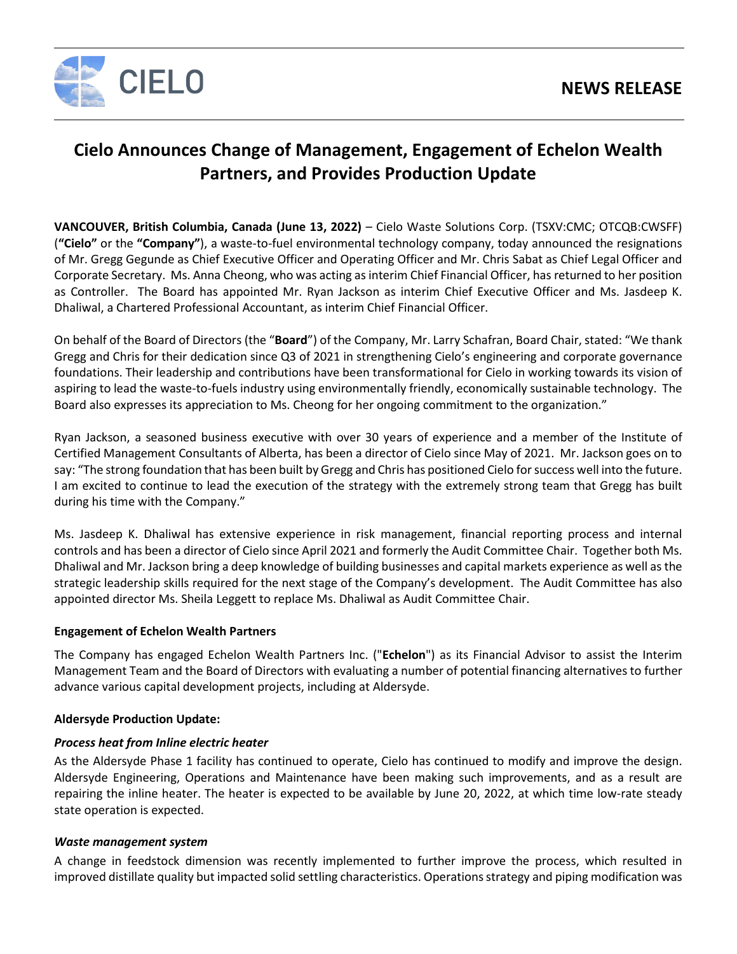

# **Cielo Announces Change of Management, Engagement of Echelon Wealth Partners, and Provides Production Update**

**VANCOUVER, British Columbia, Canada (June 13, 2022)** – Cielo Waste Solutions Corp. (TSXV:CMC; OTCQB:CWSFF) (**"Cielo"** or the **"Company"**), a waste-to-fuel environmental technology company, today announced the resignations of Mr. Gregg Gegunde as Chief Executive Officer and Operating Officer and Mr. Chris Sabat as Chief Legal Officer and Corporate Secretary. Ms. Anna Cheong, who was acting as interim Chief Financial Officer, has returned to her position as Controller. The Board has appointed Mr. Ryan Jackson as interim Chief Executive Officer and Ms. Jasdeep K. Dhaliwal, a Chartered Professional Accountant, as interim Chief Financial Officer.

On behalf of the Board of Directors (the "**Board**") of the Company, Mr. Larry Schafran, Board Chair, stated: "We thank Gregg and Chris for their dedication since Q3 of 2021 in strengthening Cielo's engineering and corporate governance foundations. Their leadership and contributions have been transformational for Cielo in working towards its vision of aspiring to lead the waste-to-fuels industry using environmentally friendly, economically sustainable technology. The Board also expresses its appreciation to Ms. Cheong for her ongoing commitment to the organization."

Ryan Jackson, a seasoned business executive with over 30 years of experience and a member of the Institute of Certified Management Consultants of Alberta, has been a director of Cielo since May of 2021. Mr. Jackson goes on to say: "The strong foundation that has been built by Gregg and Chris has positioned Cielo for success well into the future. I am excited to continue to lead the execution of the strategy with the extremely strong team that Gregg has built during his time with the Company."

Ms. Jasdeep K. Dhaliwal has extensive experience in risk management, financial reporting process and internal controls and has been a director of Cielo since April 2021 and formerly the Audit Committee Chair. Together both Ms. Dhaliwal and Mr. Jackson bring a deep knowledge of building businesses and capital markets experience as well as the strategic leadership skills required for the next stage of the Company's development. The Audit Committee has also appointed director Ms. Sheila Leggett to replace Ms. Dhaliwal as Audit Committee Chair.

#### **Engagement of Echelon Wealth Partners**

The Company has engaged Echelon Wealth Partners Inc. ("**Echelon**") as its Financial Advisor to assist the Interim Management Team and the Board of Directors with evaluating a number of potential financing alternatives to further advance various capital development projects, including at Aldersyde.

## **Aldersyde Production Update:**

#### *Process heat from Inline electric heater*

As the Aldersyde Phase 1 facility has continued to operate, Cielo has continued to modify and improve the design. Aldersyde Engineering, Operations and Maintenance have been making such improvements, and as a result are repairing the inline heater. The heater is expected to be available by June 20, 2022, at which time low-rate steady state operation is expected.

#### *Waste management system*

A change in feedstock dimension was recently implemented to further improve the process, which resulted in improved distillate quality but impacted solid settling characteristics. Operations strategy and piping modification was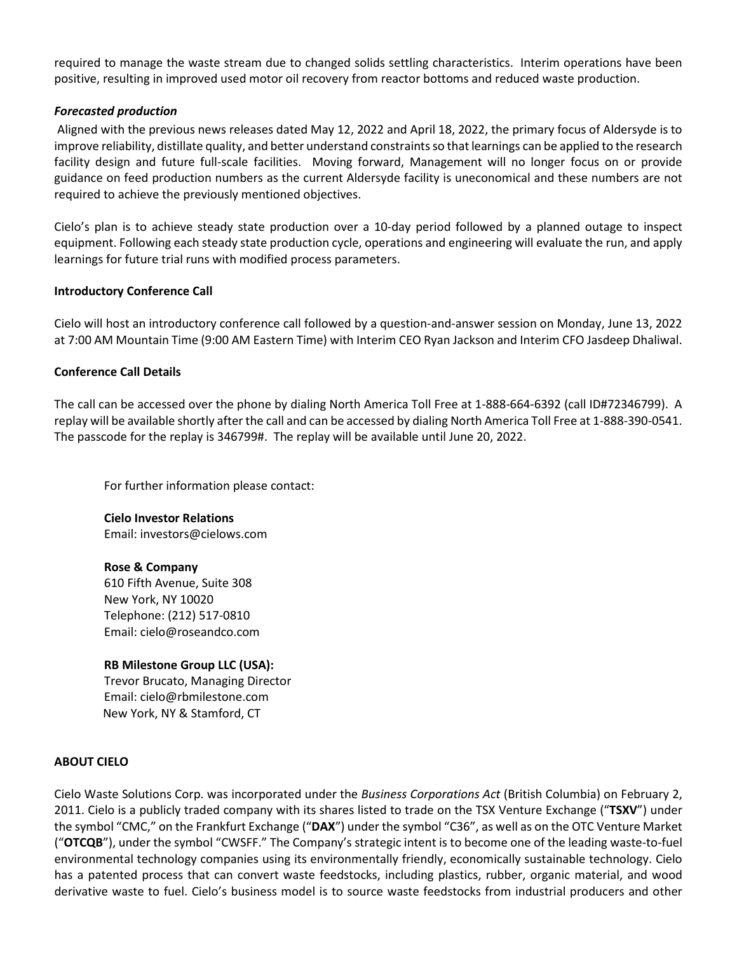required to manage the waste stream due to changed solids settling characteristics. Interim operations have been positive, resulting in improved used motor oil recovery from reactor bottoms and reduced waste production.

#### *Forecasted production*

Aligned with the previous news releases dated May 12, 2022 and April 18, 2022, the primary focus of Aldersyde is to improve reliability, distillate quality, and better understand constraints so that learnings can be applied to the research facility design and future full-scale facilities. Moving forward, Management will no longer focus on or provide guidance on feed production numbers as the current Aldersyde facility is uneconomical and these numbers are not required to achieve the previously mentioned objectives.

Cielo's plan is to achieve steady state production over a 10-day period followed by a planned outage to inspect equipment. Following each steady state production cycle, operations and engineering will evaluate the run, and apply learnings for future trial runs with modified process parameters.

#### **Introductory Conference Call**

Cielo will host an introductory conference call followed by a question-and-answer session on Monday, June 13, 2022 at 7:00 AM Mountain Time (9:00 AM Eastern Time) with Interim CEO Ryan Jackson and Interim CFO Jasdeep Dhaliwal.

#### **Conference Call Details**

The call can be accessed over the phone by dialing North America Toll Free at 1-888-664-6392 (call ID#72346799). A replay will be available shortly after the call and can be accessed by dialing North America Toll Free at 1-888-390-0541. The passcode for the replay is 346799#. The replay will be available until June 20, 2022.

For further information please contact:

**Cielo Investor Relations** Email: investors@cielows.com

#### **Rose & Company**

610 Fifth Avenue, Suite 308 New York, NY 10020 Telephone: (212) 517-0810 Email[: cielo@roseandco.com](mailto:cielo@roseandco.com)

#### **RB Milestone Group LLC (USA):**

Trevor Brucato, Managing Director Email[: cielo@rbmilestone.com](mailto:cielo@rbmilestone.com) New York, NY & Stamford, CT

### **ABOUT CIELO**

Cielo Waste Solutions Corp. was incorporated under the *Business Corporations Act* (British Columbia) on February 2, 2011. Cielo is a publicly traded company with its shares listed to trade on the TSX Venture Exchange ("**TSXV**") under the symbol "CMC," on the Frankfurt Exchange ("**DAX**") under the symbol "C36", as well as on the OTC Venture Market ("**OTCQB**"), under the symbol "CWSFF." The Company's strategic intent is to become one of the leading waste-to-fuel environmental technology companies using its environmentally friendly, economically sustainable technology. Cielo has a patented process that can convert waste feedstocks, including plastics, rubber, organic material, and wood derivative waste to fuel. Cielo's business model is to source waste feedstocks from industrial producers and other